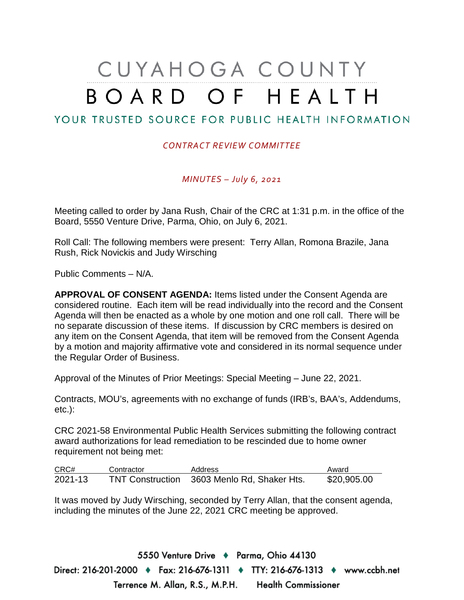## CUYAHOGA COUNTY BOARD OF HEALTH

## YOUR TRUSTED SOURCE FOR PUBLIC HEALTH INFORMATION

## *CONTRACT REVIEW COMMITTEE*

*MINUTES – July 6, 2021*

Meeting called to order by Jana Rush, Chair of the CRC at 1:31 p.m. in the office of the Board, 5550 Venture Drive, Parma, Ohio, on July 6, 2021.

Roll Call: The following members were present: Terry Allan, Romona Brazile, Jana Rush, Rick Novickis and Judy Wirsching

Public Comments – N/A.

**APPROVAL OF CONSENT AGENDA:** Items listed under the Consent Agenda are considered routine. Each item will be read individually into the record and the Consent Agenda will then be enacted as a whole by one motion and one roll call. There will be no separate discussion of these items. If discussion by CRC members is desired on any item on the Consent Agenda, that item will be removed from the Consent Agenda by a motion and majority affirmative vote and considered in its normal sequence under the Regular Order of Business.

Approval of the Minutes of Prior Meetings: Special Meeting – June 22, 2021.

Contracts, MOU's, agreements with no exchange of funds (IRB's, BAA's, Addendums, etc.):

CRC 2021-58 Environmental Public Health Services submitting the following contract award authorizations for lead remediation to be rescinded due to home owner requirement not being met:

| CRC#    | Contractor | Address                                     | Award       |
|---------|------------|---------------------------------------------|-------------|
| 2021-13 |            | TNT Construction 3603 Menlo Rd, Shaker Hts. | \$20,905.00 |

It was moved by Judy Wirsching, seconded by Terry Allan, that the consent agenda, including the minutes of the June 22, 2021 CRC meeting be approved.

5550 Venture Drive + Parma, Ohio 44130 Direct: 216-201-2000 ♦ Fax: 216-676-1311 ♦ TTY: 216-676-1313 ♦ www.ccbh.net Terrence M. Allan, R.S., M.P.H. Health Commissioner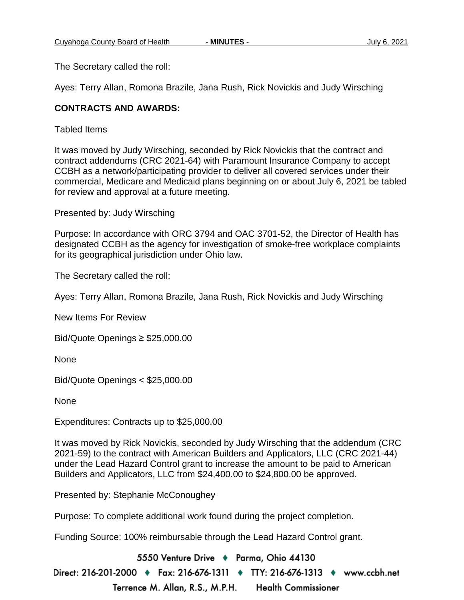The Secretary called the roll:

Ayes: Terry Allan, Romona Brazile, Jana Rush, Rick Novickis and Judy Wirsching

## **CONTRACTS AND AWARDS:**

Tabled Items

It was moved by Judy Wirsching, seconded by Rick Novickis that the contract and contract addendums (CRC 2021-64) with Paramount Insurance Company to accept CCBH as a network/participating provider to deliver all covered services under their commercial, Medicare and Medicaid plans beginning on or about July 6, 2021 be tabled for review and approval at a future meeting.

Presented by: Judy Wirsching

Purpose: In accordance with ORC 3794 and OAC 3701-52, the Director of Health has designated CCBH as the agency for investigation of smoke-free workplace complaints for its geographical jurisdiction under Ohio law.

The Secretary called the roll:

Ayes: Terry Allan, Romona Brazile, Jana Rush, Rick Novickis and Judy Wirsching

New Items For Review

Bid/Quote Openings ≥ \$25,000.00

None

Bid/Quote Openings < \$25,000.00

None

Expenditures: Contracts up to \$25,000.00

It was moved by Rick Novickis, seconded by Judy Wirsching that the addendum (CRC 2021-59) to the contract with American Builders and Applicators, LLC (CRC 2021-44) under the Lead Hazard Control grant to increase the amount to be paid to American Builders and Applicators, LLC from \$24,400.00 to \$24,800.00 be approved.

Presented by: Stephanie McConoughey

Purpose: To complete additional work found during the project completion.

Funding Source: 100% reimbursable through the Lead Hazard Control grant.

5550 Venture Drive + Parma, Ohio 44130

Direct: 216-201-2000 ♦ Fax: 216-676-1311 ♦ TTY: 216-676-1313 ♦ www.ccbh.net Terrence M. Allan, R.S., M.P.H. **Health Commissioner**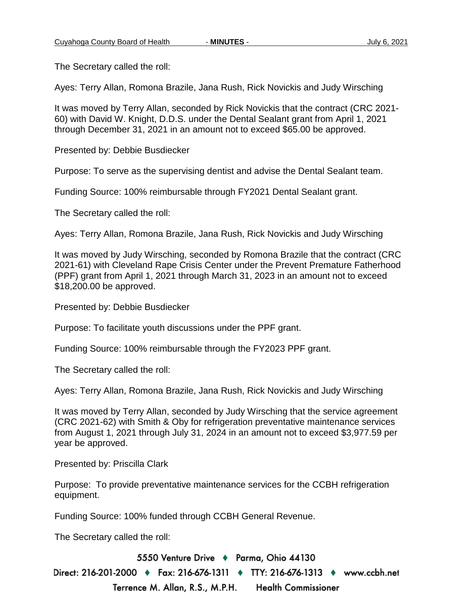The Secretary called the roll:

Ayes: Terry Allan, Romona Brazile, Jana Rush, Rick Novickis and Judy Wirsching

It was moved by Terry Allan, seconded by Rick Novickis that the contract (CRC 2021- 60) with David W. Knight, D.D.S. under the Dental Sealant grant from April 1, 2021 through December 31, 2021 in an amount not to exceed \$65.00 be approved.

Presented by: Debbie Busdiecker

Purpose: To serve as the supervising dentist and advise the Dental Sealant team.

Funding Source: 100% reimbursable through FY2021 Dental Sealant grant.

The Secretary called the roll:

Ayes: Terry Allan, Romona Brazile, Jana Rush, Rick Novickis and Judy Wirsching

It was moved by Judy Wirsching, seconded by Romona Brazile that the contract (CRC 2021-61) with Cleveland Rape Crisis Center under the Prevent Premature Fatherhood (PPF) grant from April 1, 2021 through March 31, 2023 in an amount not to exceed \$18,200.00 be approved.

Presented by: Debbie Busdiecker

Purpose: To facilitate youth discussions under the PPF grant.

Funding Source: 100% reimbursable through the FY2023 PPF grant.

The Secretary called the roll:

Ayes: Terry Allan, Romona Brazile, Jana Rush, Rick Novickis and Judy Wirsching

It was moved by Terry Allan, seconded by Judy Wirsching that the service agreement (CRC 2021-62) with Smith & Oby for refrigeration preventative maintenance services from August 1, 2021 through July 31, 2024 in an amount not to exceed \$3,977.59 per year be approved.

Presented by: Priscilla Clark

Purpose: To provide preventative maintenance services for the CCBH refrigeration equipment.

Funding Source: 100% funded through CCBH General Revenue.

The Secretary called the roll:

5550 Venture Drive + Parma, Ohio 44130 Direct: 216-201-2000 ♦ Fax: 216-676-1311 ♦ TTY: 216-676-1313 ♦ www.ccbh.net Terrence M. Allan, R.S., M.P.H. **Health Commissioner**